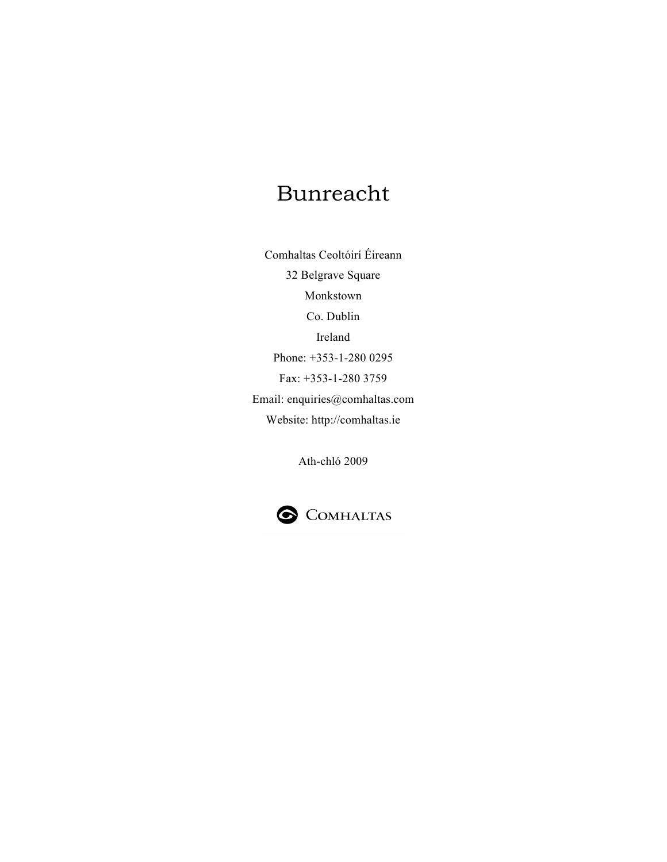# Bunreacht

Comhaltas Ceoltóirí Éireann 32 Belgrave Square Monkstown Co. Dublin Ireland Phone: +353-1-280 0295 Fax: +353-1-280 3759 Email: enquiries@comhaltas.com Website: http://comhaltas.ie

Ath-chló 2009

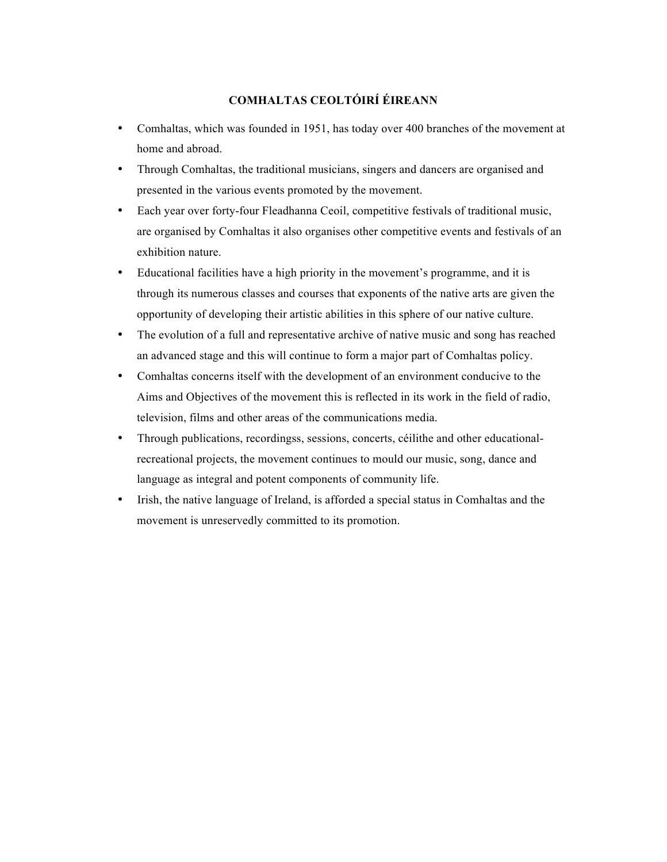# **COMHALTAS CEOLTÓIRÍ ÉIREANN**

- Comhaltas, which was founded in 1951, has today over 400 branches of the movement at home and abroad.
- Through Comhaltas, the traditional musicians, singers and dancers are organised and presented in the various events promoted by the movement.
- Each year over forty-four Fleadhanna Ceoil, competitive festivals of traditional music, are organised by Comhaltas it also organises other competitive events and festivals of an exhibition nature.
- Educational facilities have a high priority in the movement's programme, and it is through its numerous classes and courses that exponents of the native arts are given the opportunity of developing their artistic abilities in this sphere of our native culture.
- The evolution of a full and representative archive of native music and song has reached an advanced stage and this will continue to form a major part of Comhaltas policy.
- Comhaltas concerns itself with the development of an environment conducive to the Aims and Objectives of the movement this is reflected in its work in the field of radio, television, films and other areas of the communications media.
- Through publications, recordingss, sessions, concerts, céilithe and other educationalrecreational projects, the movement continues to mould our music, song, dance and language as integral and potent components of community life.
- Irish, the native language of Ireland, is afforded a special status in Comhaltas and the movement is unreservedly committed to its promotion.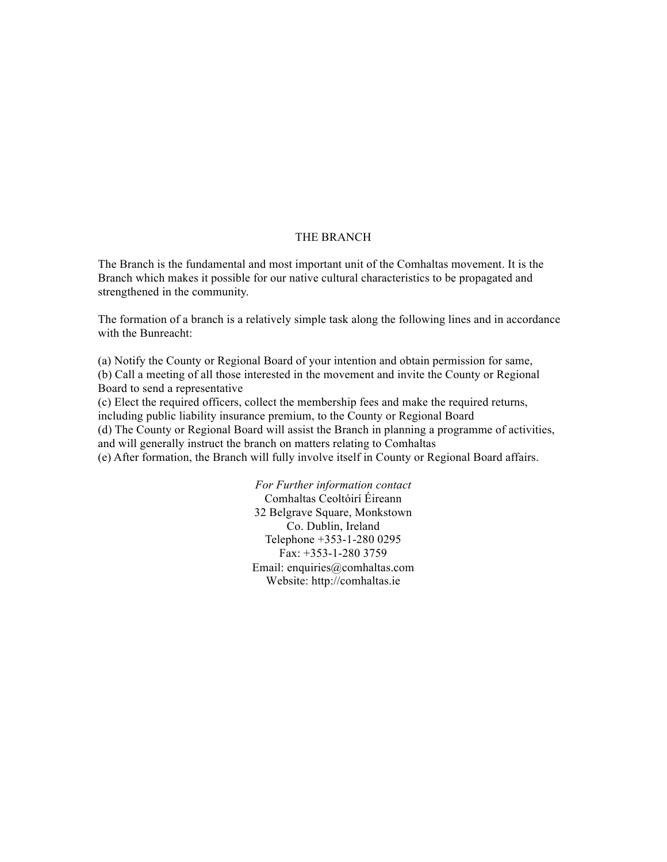# THE BRANCH

The Branch is the fundamental and most important unit of the Comhaltas movement. It is the Branch which makes it possible for our native cultural characteristics to be propagated and strengthened in the community.

The formation of a branch is a relatively simple task along the following lines and in accordance with the Bunreacht:

(a) Notify the County or Regional Board of your intention and obtain permission for same, (b) Call a meeting of all those interested in the movement and invite the County or Regional Board to send a representative

(c) Elect the required officers, collect the membership fees and make the required returns, including public liability insurance premium, to the County or Regional Board

(d) The County or Regional Board will assist the Branch in planning a programme of activities, and will generally instruct the branch on matters relating to Comhaltas

(e) After formation, the Branch will fully involve itself in County or Regional Board affairs.

*For Further information contact* Comhaltas Ceoltóirí Éireann 32 Belgrave Square, Monkstown Co. Dublin, Ireland Telephone +353-1-280 0295 Fax: +353-1-280 3759 Email: enquiries@comhaltas.com Website: http://comhaltas.ie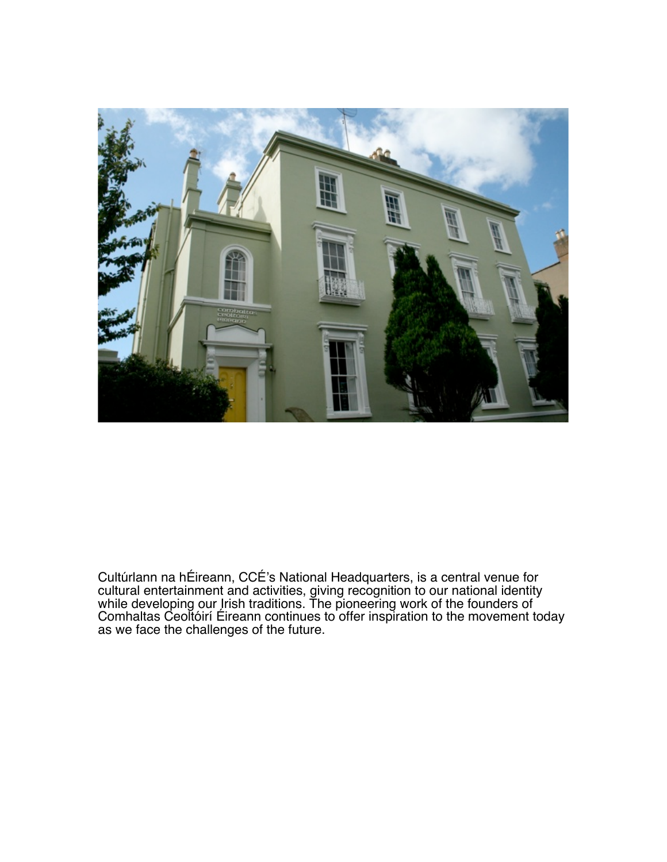

Cultúrlann na hÉireann, CCÉ's National Headquarters, is a central venue for cultural entertainment and activities, giving recognition to our national identity while developing our Irish traditions. The pioneering work of the founders of Comhaltas Ceoltóirí Éireann continues to offer inspiration to the movement today as we face the challenges of the future.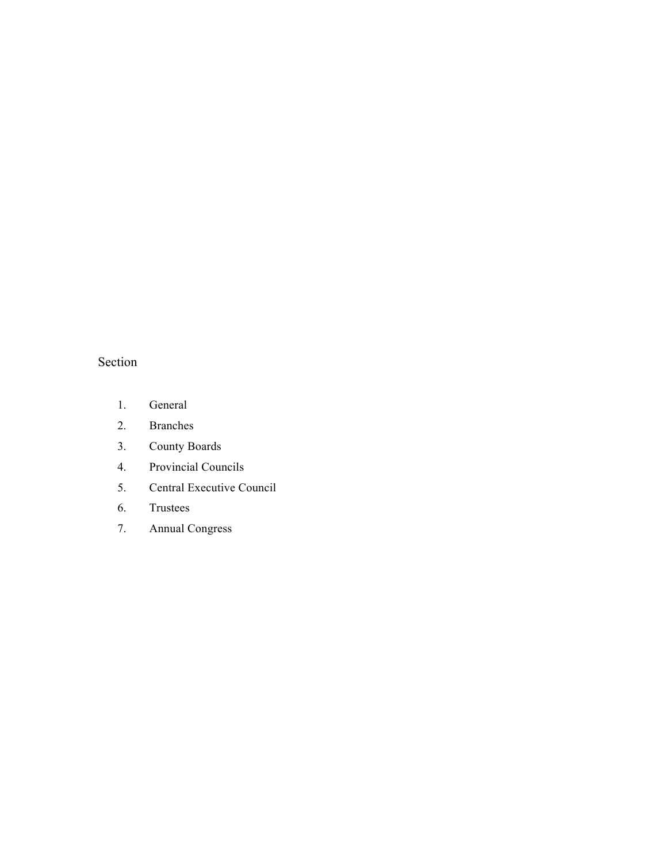# Section

- 1. General
- 2. Branches
- 3. County Boards
- 4. Provincial Councils
- 5. Central Executive Council
- 6. Trustees
- 7. Annual Congress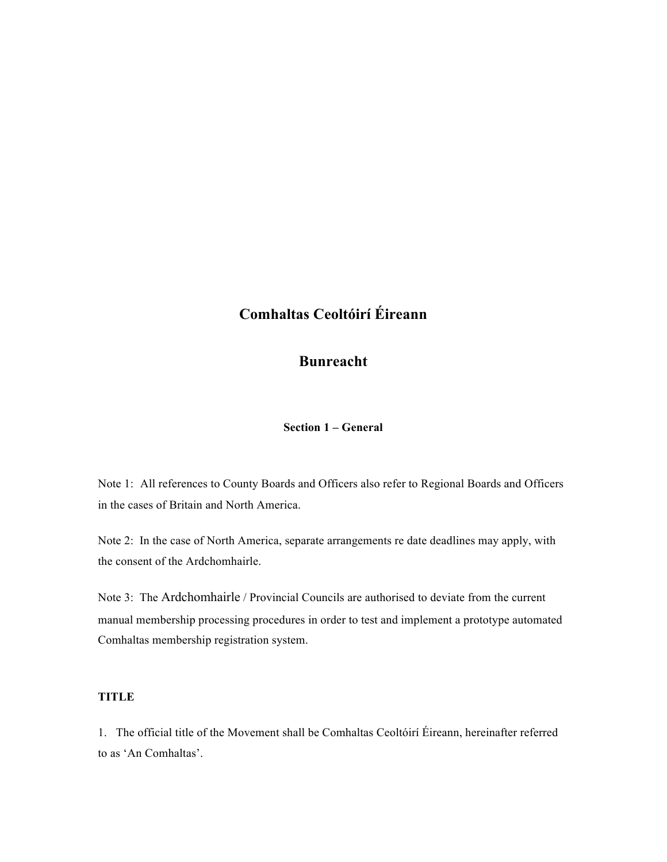# **Comhaltas Ceoltóirí Éireann**

# **Bunreacht**

**Section 1 – General**

Note 1: All references to County Boards and Officers also refer to Regional Boards and Officers in the cases of Britain and North America.

Note 2: In the case of North America, separate arrangements re date deadlines may apply, with the consent of the Ardchomhairle.

Note 3: The Ardchomhairle / Provincial Councils are authorised to deviate from the current manual membership processing procedures in order to test and implement a prototype automated Comhaltas membership registration system.

# **TITLE**

1. The official title of the Movement shall be Comhaltas Ceoltóirí Éireann, hereinafter referred to as 'An Comhaltas'.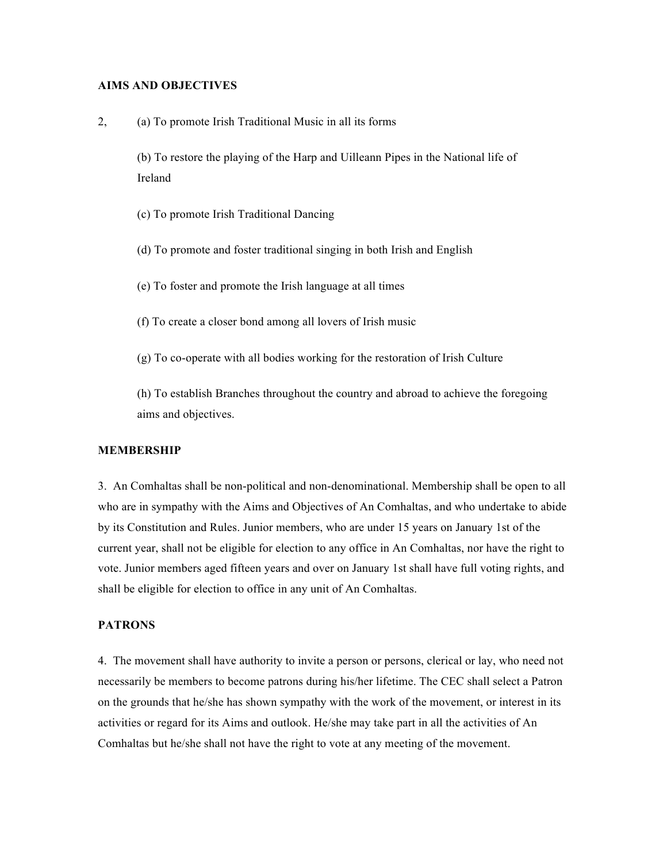#### **AIMS AND OBJECTIVES**

2, (a) To promote Irish Traditional Music in all its forms

(b) To restore the playing of the Harp and Uilleann Pipes in the National life of Ireland

(c) To promote Irish Traditional Dancing

(d) To promote and foster traditional singing in both Irish and English

(e) To foster and promote the Irish language at all times

(f) To create a closer bond among all lovers of Irish music

(g) To co-operate with all bodies working for the restoration of Irish Culture

(h) To establish Branches throughout the country and abroad to achieve the foregoing aims and objectives.

#### **MEMBERSHIP**

3. An Comhaltas shall be non-political and non-denominational. Membership shall be open to all who are in sympathy with the Aims and Objectives of An Comhaltas, and who undertake to abide by its Constitution and Rules. Junior members, who are under 15 years on January 1st of the current year, shall not be eligible for election to any office in An Comhaltas, nor have the right to vote. Junior members aged fifteen years and over on January 1st shall have full voting rights, and shall be eligible for election to office in any unit of An Comhaltas.

#### **PATRONS**

4. The movement shall have authority to invite a person or persons, clerical or lay, who need not necessarily be members to become patrons during his/her lifetime. The CEC shall select a Patron on the grounds that he/she has shown sympathy with the work of the movement, or interest in its activities or regard for its Aims and outlook. He/she may take part in all the activities of An Comhaltas but he/she shall not have the right to vote at any meeting of the movement.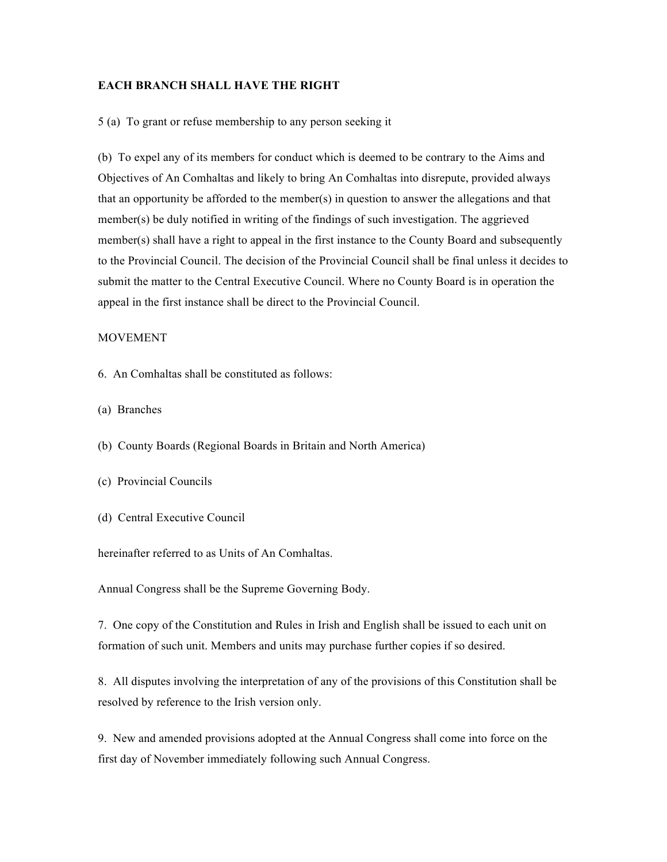#### **EACH BRANCH SHALL HAVE THE RIGHT**

5 (a) To grant or refuse membership to any person seeking it

(b) To expel any of its members for conduct which is deemed to be contrary to the Aims and Objectives of An Comhaltas and likely to bring An Comhaltas into disrepute, provided always that an opportunity be afforded to the member(s) in question to answer the allegations and that member(s) be duly notified in writing of the findings of such investigation. The aggrieved member(s) shall have a right to appeal in the first instance to the County Board and subsequently to the Provincial Council. The decision of the Provincial Council shall be final unless it decides to submit the matter to the Central Executive Council. Where no County Board is in operation the appeal in the first instance shall be direct to the Provincial Council.

#### MOVEMENT

- 6. An Comhaltas shall be constituted as follows:
- (a) Branches
- (b) County Boards (Regional Boards in Britain and North America)
- (c) Provincial Councils
- (d) Central Executive Council

hereinafter referred to as Units of An Comhaltas.

Annual Congress shall be the Supreme Governing Body.

7. One copy of the Constitution and Rules in Irish and English shall be issued to each unit on formation of such unit. Members and units may purchase further copies if so desired.

8. All disputes involving the interpretation of any of the provisions of this Constitution shall be resolved by reference to the Irish version only.

9. New and amended provisions adopted at the Annual Congress shall come into force on the first day of November immediately following such Annual Congress.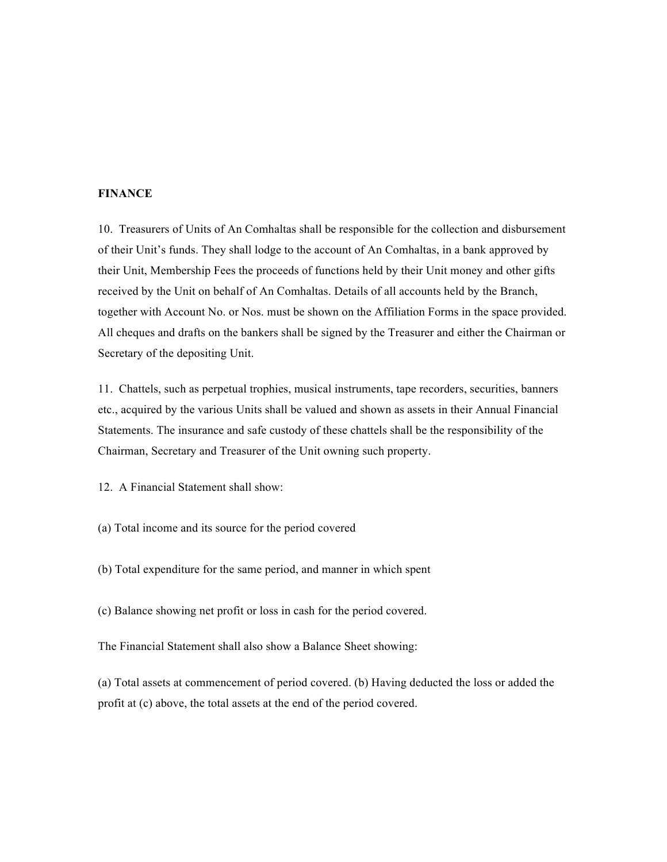# **FINANCE**

10. Treasurers of Units of An Comhaltas shall be responsible for the collection and disbursement of their Unit's funds. They shall lodge to the account of An Comhaltas, in a bank approved by their Unit, Membership Fees the proceeds of functions held by their Unit money and other gifts received by the Unit on behalf of An Comhaltas. Details of all accounts held by the Branch, together with Account No. or Nos. must be shown on the Affiliation Forms in the space provided. All cheques and drafts on the bankers shall be signed by the Treasurer and either the Chairman or Secretary of the depositing Unit.

11. Chattels, such as perpetual trophies, musical instruments, tape recorders, securities, banners etc., acquired by the various Units shall be valued and shown as assets in their Annual Financial Statements. The insurance and safe custody of these chattels shall be the responsibility of the Chairman, Secretary and Treasurer of the Unit owning such property.

12. A Financial Statement shall show:

(a) Total income and its source for the period covered

(b) Total expenditure for the same period, and manner in which spent

(c) Balance showing net profit or loss in cash for the period covered.

The Financial Statement shall also show a Balance Sheet showing:

(a) Total assets at commencement of period covered. (b) Having deducted the loss or added the profit at (c) above, the total assets at the end of the period covered.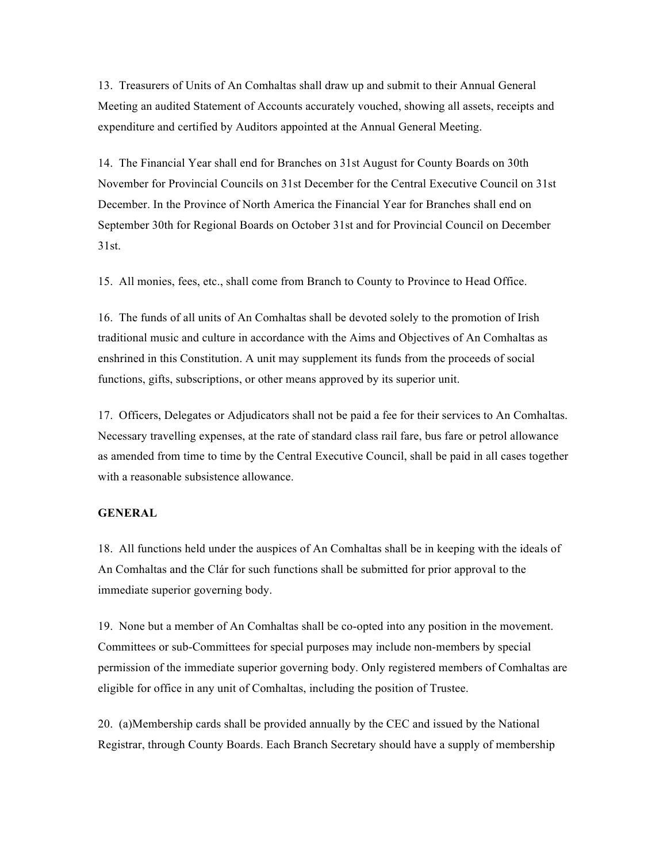13. Treasurers of Units of An Comhaltas shall draw up and submit to their Annual General Meeting an audited Statement of Accounts accurately vouched, showing all assets, receipts and expenditure and certified by Auditors appointed at the Annual General Meeting.

14. The Financial Year shall end for Branches on 31st August for County Boards on 30th November for Provincial Councils on 31st December for the Central Executive Council on 31st December. In the Province of North America the Financial Year for Branches shall end on September 30th for Regional Boards on October 31st and for Provincial Council on December 31st.

15. All monies, fees, etc., shall come from Branch to County to Province to Head Office.

16. The funds of all units of An Comhaltas shall be devoted solely to the promotion of Irish traditional music and culture in accordance with the Aims and Objectives of An Comhaltas as enshrined in this Constitution. A unit may supplement its funds from the proceeds of social functions, gifts, subscriptions, or other means approved by its superior unit.

17. Officers, Delegates or Adjudicators shall not be paid a fee for their services to An Comhaltas. Necessary travelling expenses, at the rate of standard class rail fare, bus fare or petrol allowance as amended from time to time by the Central Executive Council, shall be paid in all cases together with a reasonable subsistence allowance.

#### **GENERAL**

18. All functions held under the auspices of An Comhaltas shall be in keeping with the ideals of An Comhaltas and the Clár for such functions shall be submitted for prior approval to the immediate superior governing body.

19. None but a member of An Comhaltas shall be co-opted into any position in the movement. Committees or sub-Committees for special purposes may include non-members by special permission of the immediate superior governing body. Only registered members of Comhaltas are eligible for office in any unit of Comhaltas, including the position of Trustee.

20. (a)Membership cards shall be provided annually by the CEC and issued by the National Registrar, through County Boards. Each Branch Secretary should have a supply of membership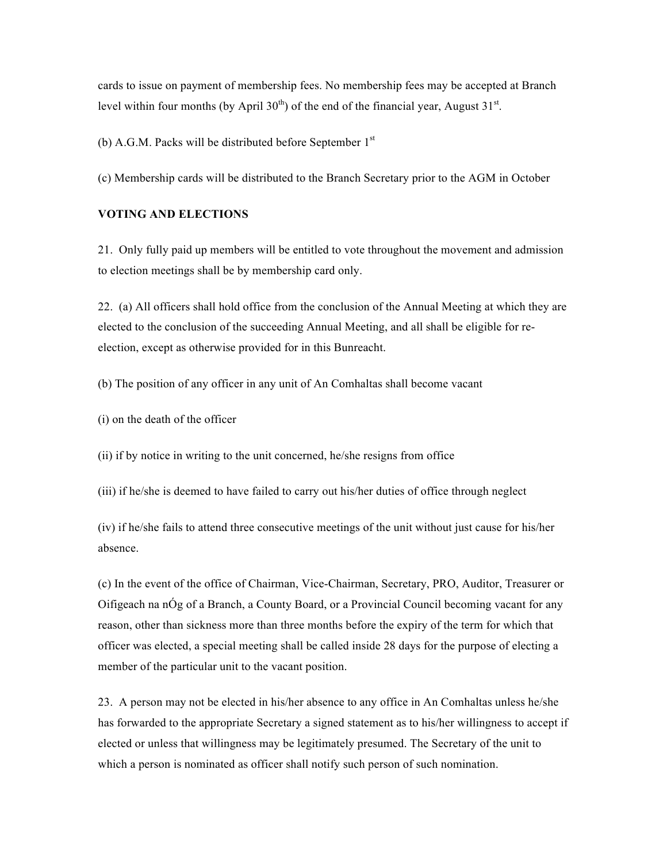cards to issue on payment of membership fees. No membership fees may be accepted at Branch level within four months (by April 30<sup>th</sup>) of the end of the financial year, August 31<sup>st</sup>.

(b) A.G.M. Packs will be distributed before September  $1<sup>st</sup>$ 

(c) Membership cards will be distributed to the Branch Secretary prior to the AGM in October

#### **VOTING AND ELECTIONS**

21. Only fully paid up members will be entitled to vote throughout the movement and admission to election meetings shall be by membership card only.

22. (a) All officers shall hold office from the conclusion of the Annual Meeting at which they are elected to the conclusion of the succeeding Annual Meeting, and all shall be eligible for reelection, except as otherwise provided for in this Bunreacht.

(b) The position of any officer in any unit of An Comhaltas shall become vacant

(i) on the death of the officer

(ii) if by notice in writing to the unit concerned, he/she resigns from office

(iii) if he/she is deemed to have failed to carry out his/her duties of office through neglect

(iv) if he/she fails to attend three consecutive meetings of the unit without just cause for his/her absence.

(c) In the event of the office of Chairman, Vice-Chairman, Secretary, PRO, Auditor, Treasurer or Oifigeach na nÓg of a Branch, a County Board, or a Provincial Council becoming vacant for any reason, other than sickness more than three months before the expiry of the term for which that officer was elected, a special meeting shall be called inside 28 days for the purpose of electing a member of the particular unit to the vacant position.

23. A person may not be elected in his/her absence to any office in An Comhaltas unless he/she has forwarded to the appropriate Secretary a signed statement as to his/her willingness to accept if elected or unless that willingness may be legitimately presumed. The Secretary of the unit to which a person is nominated as officer shall notify such person of such nomination.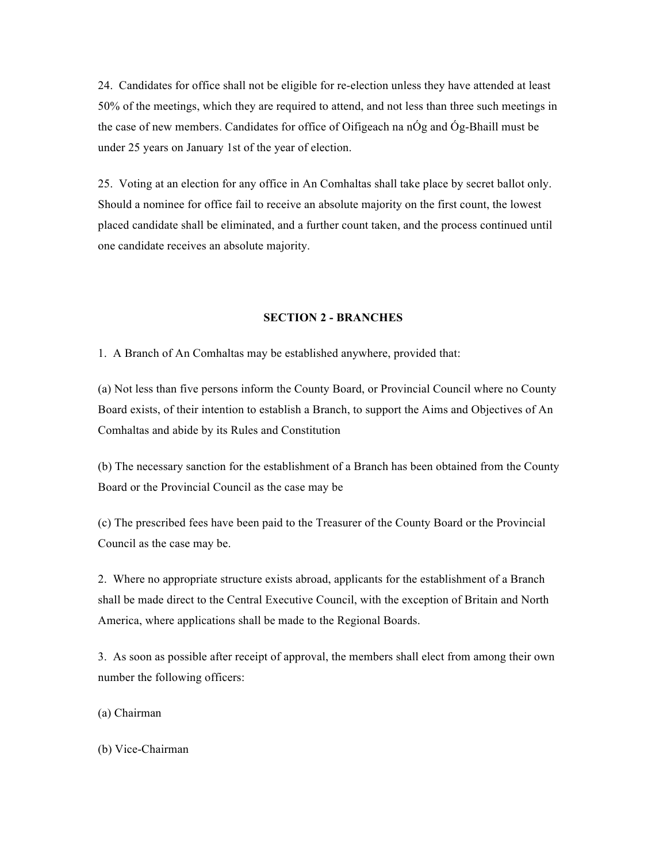24. Candidates for office shall not be eligible for re-election unless they have attended at least 50% of the meetings, which they are required to attend, and not less than three such meetings in the case of new members. Candidates for office of Oifigeach na nÓg and Óg-Bhaill must be under 25 years on January 1st of the year of election.

25. Voting at an election for any office in An Comhaltas shall take place by secret ballot only. Should a nominee for office fail to receive an absolute majority on the first count, the lowest placed candidate shall be eliminated, and a further count taken, and the process continued until one candidate receives an absolute majority.

### **SECTION 2 - BRANCHES**

1. A Branch of An Comhaltas may be established anywhere, provided that:

(a) Not less than five persons inform the County Board, or Provincial Council where no County Board exists, of their intention to establish a Branch, to support the Aims and Objectives of An Comhaltas and abide by its Rules and Constitution

(b) The necessary sanction for the establishment of a Branch has been obtained from the County Board or the Provincial Council as the case may be

(c) The prescribed fees have been paid to the Treasurer of the County Board or the Provincial Council as the case may be.

2. Where no appropriate structure exists abroad, applicants for the establishment of a Branch shall be made direct to the Central Executive Council, with the exception of Britain and North America, where applications shall be made to the Regional Boards.

3. As soon as possible after receipt of approval, the members shall elect from among their own number the following officers:

(a) Chairman

(b) Vice-Chairman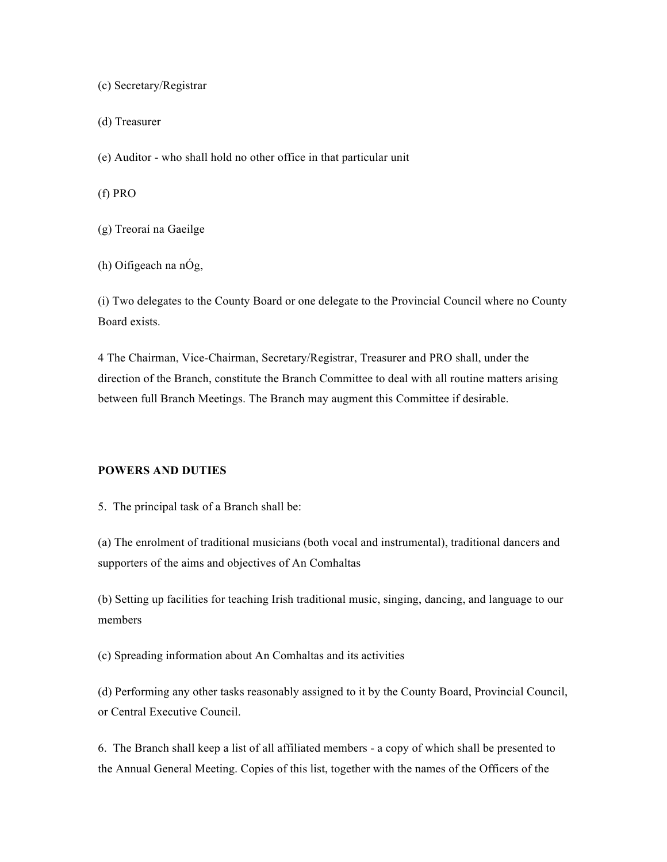(c) Secretary/Registrar

(d) Treasurer

(e) Auditor - who shall hold no other office in that particular unit

(f) PRO

(g) Treoraí na Gaeilge

(h) Oifigeach na nÓg,

(i) Two delegates to the County Board or one delegate to the Provincial Council where no County Board exists.

4 The Chairman, Vice-Chairman, Secretary/Registrar, Treasurer and PRO shall, under the direction of the Branch, constitute the Branch Committee to deal with all routine matters arising between full Branch Meetings. The Branch may augment this Committee if desirable.

# **POWERS AND DUTIES**

5. The principal task of a Branch shall be:

(a) The enrolment of traditional musicians (both vocal and instrumental), traditional dancers and supporters of the aims and objectives of An Comhaltas

(b) Setting up facilities for teaching Irish traditional music, singing, dancing, and language to our members

(c) Spreading information about An Comhaltas and its activities

(d) Performing any other tasks reasonably assigned to it by the County Board, Provincial Council, or Central Executive Council.

6. The Branch shall keep a list of all affiliated members - a copy of which shall be presented to the Annual General Meeting. Copies of this list, together with the names of the Officers of the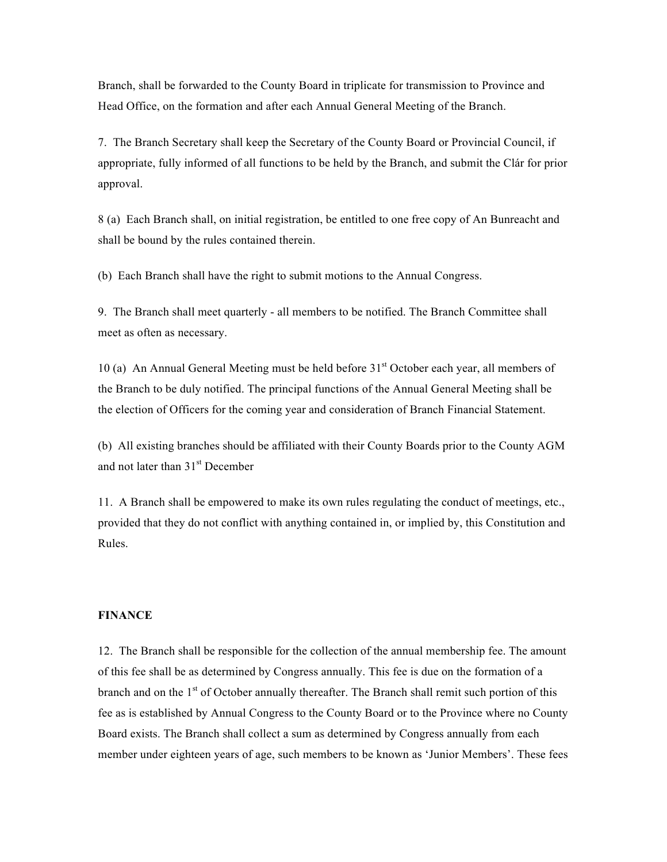Branch, shall be forwarded to the County Board in triplicate for transmission to Province and Head Office, on the formation and after each Annual General Meeting of the Branch.

7. The Branch Secretary shall keep the Secretary of the County Board or Provincial Council, if appropriate, fully informed of all functions to be held by the Branch, and submit the Clár for prior approval.

8 (a) Each Branch shall, on initial registration, be entitled to one free copy of An Bunreacht and shall be bound by the rules contained therein.

(b) Each Branch shall have the right to submit motions to the Annual Congress.

9. The Branch shall meet quarterly - all members to be notified. The Branch Committee shall meet as often as necessary.

10 (a) An Annual General Meeting must be held before 31<sup>st</sup> October each year, all members of the Branch to be duly notified. The principal functions of the Annual General Meeting shall be the election of Officers for the coming year and consideration of Branch Financial Statement.

(b) All existing branches should be affiliated with their County Boards prior to the County AGM and not later than  $31<sup>st</sup>$  December

11. A Branch shall be empowered to make its own rules regulating the conduct of meetings, etc., provided that they do not conflict with anything contained in, or implied by, this Constitution and Rules.

#### **FINANCE**

12. The Branch shall be responsible for the collection of the annual membership fee. The amount of this fee shall be as determined by Congress annually. This fee is due on the formation of a branch and on the  $1<sup>st</sup>$  of October annually thereafter. The Branch shall remit such portion of this fee as is established by Annual Congress to the County Board or to the Province where no County Board exists. The Branch shall collect a sum as determined by Congress annually from each member under eighteen years of age, such members to be known as 'Junior Members'. These fees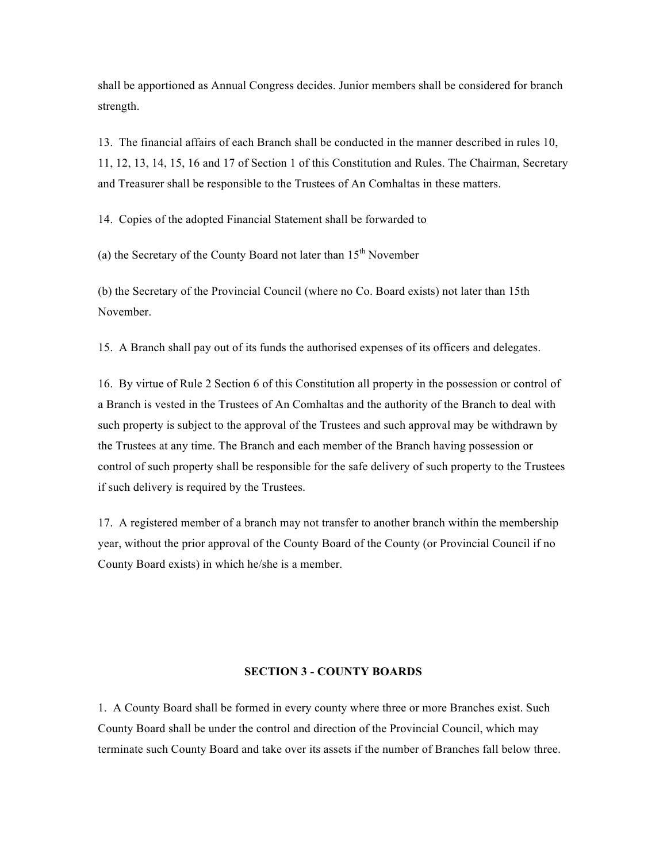shall be apportioned as Annual Congress decides. Junior members shall be considered for branch strength.

13. The financial affairs of each Branch shall be conducted in the manner described in rules 10, 11, 12, 13, 14, 15, 16 and 17 of Section 1 of this Constitution and Rules. The Chairman, Secretary and Treasurer shall be responsible to the Trustees of An Comhaltas in these matters.

14. Copies of the adopted Financial Statement shall be forwarded to

(a) the Secretary of the County Board not later than  $15<sup>th</sup>$  November

(b) the Secretary of the Provincial Council (where no Co. Board exists) not later than 15th November.

15. A Branch shall pay out of its funds the authorised expenses of its officers and delegates.

16. By virtue of Rule 2 Section 6 of this Constitution all property in the possession or control of a Branch is vested in the Trustees of An Comhaltas and the authority of the Branch to deal with such property is subject to the approval of the Trustees and such approval may be withdrawn by the Trustees at any time. The Branch and each member of the Branch having possession or control of such property shall be responsible for the safe delivery of such property to the Trustees if such delivery is required by the Trustees.

17. A registered member of a branch may not transfer to another branch within the membership year, without the prior approval of the County Board of the County (or Provincial Council if no County Board exists) in which he/she is a member.

### **SECTION 3 - COUNTY BOARDS**

1. A County Board shall be formed in every county where three or more Branches exist. Such County Board shall be under the control and direction of the Provincial Council, which may terminate such County Board and take over its assets if the number of Branches fall below three.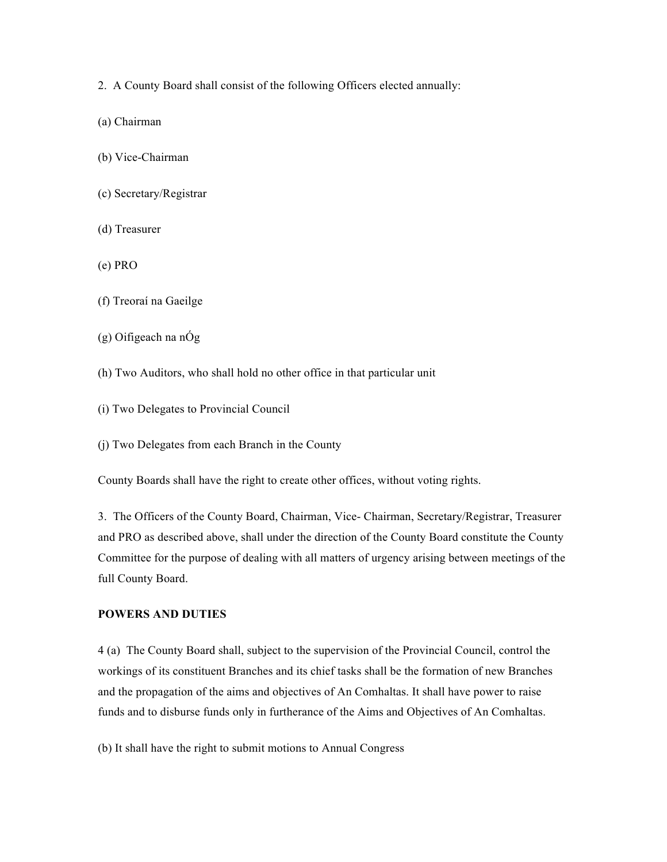- 2. A County Board shall consist of the following Officers elected annually:
- (a) Chairman
- (b) Vice-Chairman
- (c) Secretary/Registrar
- (d) Treasurer
- (e) PRO
- (f) Treoraí na Gaeilge
- (g) Oifigeach na nÓg
- (h) Two Auditors, who shall hold no other office in that particular unit
- (i) Two Delegates to Provincial Council
- (j) Two Delegates from each Branch in the County

County Boards shall have the right to create other offices, without voting rights.

3. The Officers of the County Board, Chairman, Vice- Chairman, Secretary/Registrar, Treasurer and PRO as described above, shall under the direction of the County Board constitute the County Committee for the purpose of dealing with all matters of urgency arising between meetings of the full County Board.

# **POWERS AND DUTIES**

4 (a) The County Board shall, subject to the supervision of the Provincial Council, control the workings of its constituent Branches and its chief tasks shall be the formation of new Branches and the propagation of the aims and objectives of An Comhaltas. It shall have power to raise funds and to disburse funds only in furtherance of the Aims and Objectives of An Comhaltas.

(b) It shall have the right to submit motions to Annual Congress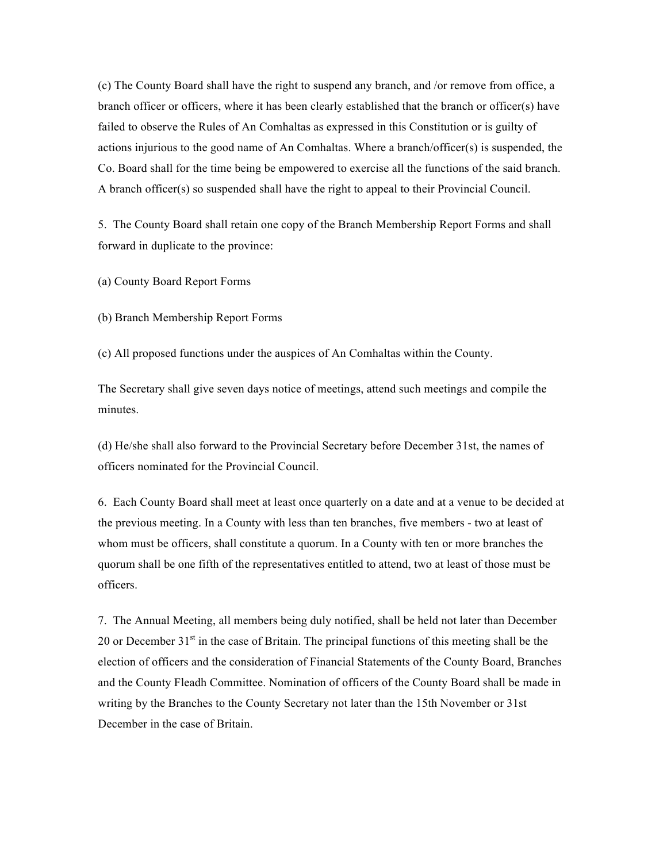(c) The County Board shall have the right to suspend any branch, and /or remove from office, a branch officer or officers, where it has been clearly established that the branch or officer(s) have failed to observe the Rules of An Comhaltas as expressed in this Constitution or is guilty of actions injurious to the good name of An Comhaltas. Where a branch/officer(s) is suspended, the Co. Board shall for the time being be empowered to exercise all the functions of the said branch. A branch officer(s) so suspended shall have the right to appeal to their Provincial Council.

5. The County Board shall retain one copy of the Branch Membership Report Forms and shall forward in duplicate to the province:

(a) County Board Report Forms

(b) Branch Membership Report Forms

(c) All proposed functions under the auspices of An Comhaltas within the County.

The Secretary shall give seven days notice of meetings, attend such meetings and compile the minutes.

(d) He/she shall also forward to the Provincial Secretary before December 31st, the names of officers nominated for the Provincial Council.

6. Each County Board shall meet at least once quarterly on a date and at a venue to be decided at the previous meeting. In a County with less than ten branches, five members - two at least of whom must be officers, shall constitute a quorum. In a County with ten or more branches the quorum shall be one fifth of the representatives entitled to attend, two at least of those must be officers.

7. The Annual Meeting, all members being duly notified, shall be held not later than December 20 or December  $31<sup>st</sup>$  in the case of Britain. The principal functions of this meeting shall be the election of officers and the consideration of Financial Statements of the County Board, Branches and the County Fleadh Committee. Nomination of officers of the County Board shall be made in writing by the Branches to the County Secretary not later than the 15th November or 31st December in the case of Britain.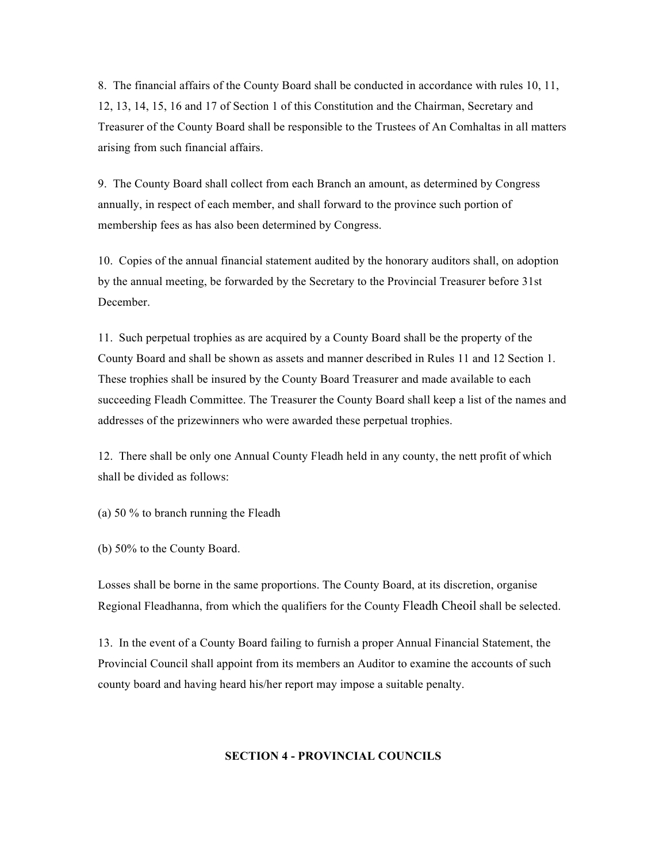8. The financial affairs of the County Board shall be conducted in accordance with rules 10, 11, 12, 13, 14, 15, 16 and 17 of Section 1 of this Constitution and the Chairman, Secretary and Treasurer of the County Board shall be responsible to the Trustees of An Comhaltas in all matters arising from such financial affairs.

9. The County Board shall collect from each Branch an amount, as determined by Congress annually, in respect of each member, and shall forward to the province such portion of membership fees as has also been determined by Congress.

10. Copies of the annual financial statement audited by the honorary auditors shall, on adoption by the annual meeting, be forwarded by the Secretary to the Provincial Treasurer before 31st December.

11. Such perpetual trophies as are acquired by a County Board shall be the property of the County Board and shall be shown as assets and manner described in Rules 11 and 12 Section 1. These trophies shall be insured by the County Board Treasurer and made available to each succeeding Fleadh Committee. The Treasurer the County Board shall keep a list of the names and addresses of the prizewinners who were awarded these perpetual trophies.

12. There shall be only one Annual County Fleadh held in any county, the nett profit of which shall be divided as follows:

(a) 50 % to branch running the Fleadh

(b) 50% to the County Board.

Losses shall be borne in the same proportions. The County Board, at its discretion, organise Regional Fleadhanna, from which the qualifiers for the County Fleadh Cheoil shall be selected.

13. In the event of a County Board failing to furnish a proper Annual Financial Statement, the Provincial Council shall appoint from its members an Auditor to examine the accounts of such county board and having heard his/her report may impose a suitable penalty.

#### **SECTION 4 - PROVINCIAL COUNCILS**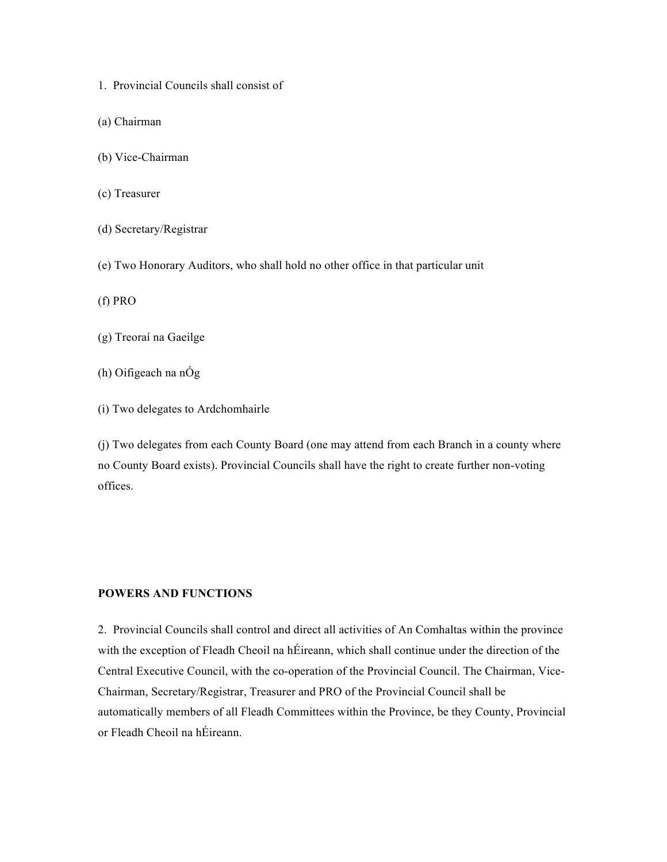- 1. Provincial Councils shall consist of
- (a) Chairman
- (b) Vice-Chairman
- (c) Treasurer
- (d) Secretary/Registrar
- (e) Two Honorary Auditors, who shall hold no other office in that particular unit
- (f) PRO
- (g) Treoraí na Gaeilge
- (h) Oifigeach na nÓg
- (i) Two delegates to Ardchomhairle

(j) Two delegates from each County Board (one may attend from each Branch in a county where no County Board exists). Provincial Councils shall have the right to create further non-voting offices.

# **POWERS AND FUNCTIONS**

2. Provincial Councils shall control and direct all activities of An Comhaltas within the province with the exception of Fleadh Cheoil na hÉireann, which shall continue under the direction of the Central Executive Council, with the co-operation of the Provincial Council. The Chairman, Vice-Chairman, Secretary/Registrar, Treasurer and PRO of the Provincial Council shall be automatically members of all Fleadh Committees within the Province, be they County, Provincial or Fleadh Cheoil na hÉireann.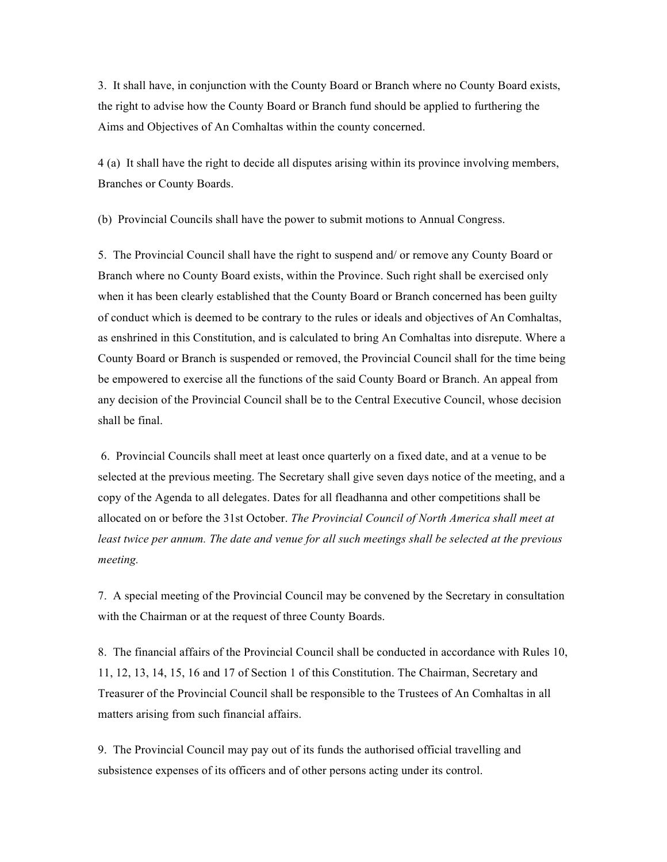3. It shall have, in conjunction with the County Board or Branch where no County Board exists, the right to advise how the County Board or Branch fund should be applied to furthering the Aims and Objectives of An Comhaltas within the county concerned.

4 (a) It shall have the right to decide all disputes arising within its province involving members, Branches or County Boards.

(b) Provincial Councils shall have the power to submit motions to Annual Congress.

5. The Provincial Council shall have the right to suspend and/ or remove any County Board or Branch where no County Board exists, within the Province. Such right shall be exercised only when it has been clearly established that the County Board or Branch concerned has been guilty of conduct which is deemed to be contrary to the rules or ideals and objectives of An Comhaltas, as enshrined in this Constitution, and is calculated to bring An Comhaltas into disrepute. Where a County Board or Branch is suspended or removed, the Provincial Council shall for the time being be empowered to exercise all the functions of the said County Board or Branch. An appeal from any decision of the Provincial Council shall be to the Central Executive Council, whose decision shall be final.

 6. Provincial Councils shall meet at least once quarterly on a fixed date, and at a venue to be selected at the previous meeting. The Secretary shall give seven days notice of the meeting, and a copy of the Agenda to all delegates. Dates for all fleadhanna and other competitions shall be allocated on or before the 31st October. *The Provincial Council of North America shall meet at*  least twice per annum. The date and venue for all such meetings shall be selected at the previous *meeting.*

7. A special meeting of the Provincial Council may be convened by the Secretary in consultation with the Chairman or at the request of three County Boards.

8. The financial affairs of the Provincial Council shall be conducted in accordance with Rules 10, 11, 12, 13, 14, 15, 16 and 17 of Section 1 of this Constitution. The Chairman, Secretary and Treasurer of the Provincial Council shall be responsible to the Trustees of An Comhaltas in all matters arising from such financial affairs.

9. The Provincial Council may pay out of its funds the authorised official travelling and subsistence expenses of its officers and of other persons acting under its control.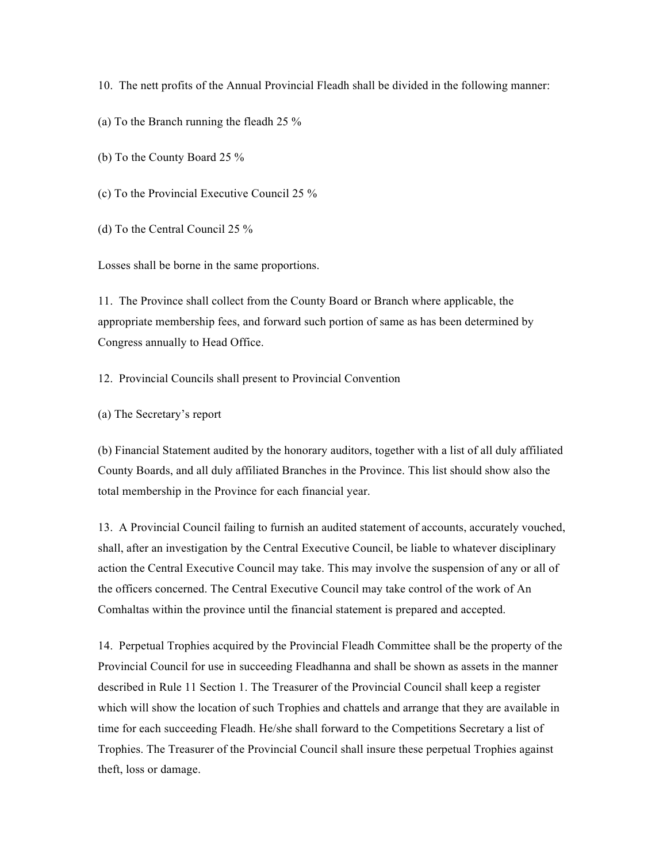10. The nett profits of the Annual Provincial Fleadh shall be divided in the following manner:

(a) To the Branch running the fleadh 25 %

(b) To the County Board 25 %

(c) To the Provincial Executive Council 25 %

(d) To the Central Council 25 %

Losses shall be borne in the same proportions.

11. The Province shall collect from the County Board or Branch where applicable, the appropriate membership fees, and forward such portion of same as has been determined by Congress annually to Head Office.

12. Provincial Councils shall present to Provincial Convention

(a) The Secretary's report

(b) Financial Statement audited by the honorary auditors, together with a list of all duly affiliated County Boards, and all duly affiliated Branches in the Province. This list should show also the total membership in the Province for each financial year.

13. A Provincial Council failing to furnish an audited statement of accounts, accurately vouched, shall, after an investigation by the Central Executive Council, be liable to whatever disciplinary action the Central Executive Council may take. This may involve the suspension of any or all of the officers concerned. The Central Executive Council may take control of the work of An Comhaltas within the province until the financial statement is prepared and accepted.

14. Perpetual Trophies acquired by the Provincial Fleadh Committee shall be the property of the Provincial Council for use in succeeding Fleadhanna and shall be shown as assets in the manner described in Rule 11 Section 1. The Treasurer of the Provincial Council shall keep a register which will show the location of such Trophies and chattels and arrange that they are available in time for each succeeding Fleadh. He/she shall forward to the Competitions Secretary a list of Trophies. The Treasurer of the Provincial Council shall insure these perpetual Trophies against theft, loss or damage.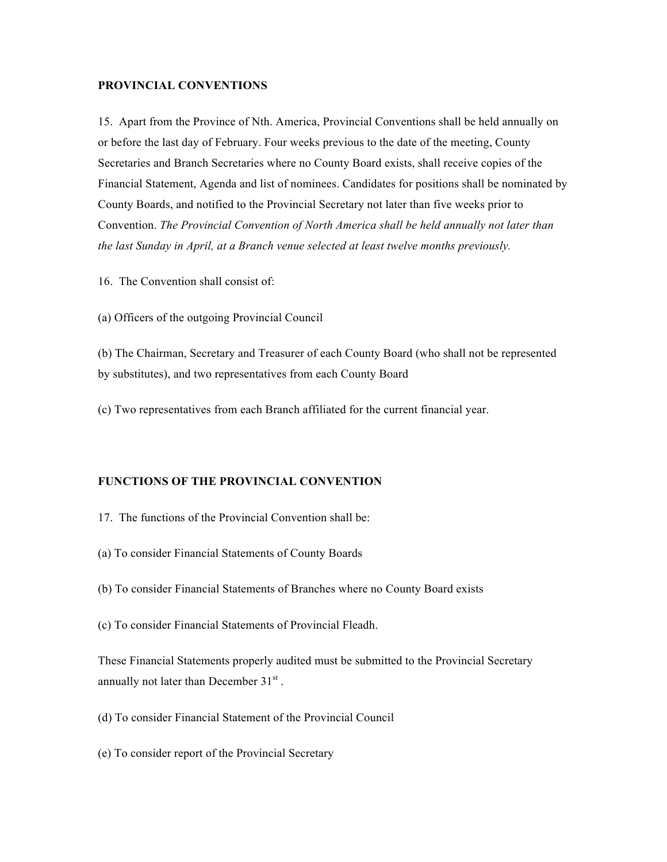#### **PROVINCIAL CONVENTIONS**

15. Apart from the Province of Nth. America, Provincial Conventions shall be held annually on or before the last day of February. Four weeks previous to the date of the meeting, County Secretaries and Branch Secretaries where no County Board exists, shall receive copies of the Financial Statement, Agenda and list of nominees. Candidates for positions shall be nominated by County Boards, and notified to the Provincial Secretary not later than five weeks prior to Convention. *The Provincial Convention of North America shall be held annually not later than the last Sunday in April, at a Branch venue selected at least twelve months previously.*

- 16. The Convention shall consist of:
- (a) Officers of the outgoing Provincial Council

(b) The Chairman, Secretary and Treasurer of each County Board (who shall not be represented by substitutes), and two representatives from each County Board

(c) Two representatives from each Branch affiliated for the current financial year.

### **FUNCTIONS OF THE PROVINCIAL CONVENTION**

- 17. The functions of the Provincial Convention shall be:
- (a) To consider Financial Statements of County Boards
- (b) To consider Financial Statements of Branches where no County Board exists
- (c) To consider Financial Statements of Provincial Fleadh.

These Financial Statements properly audited must be submitted to the Provincial Secretary annually not later than December  $31<sup>st</sup>$ .

- (d) To consider Financial Statement of the Provincial Council
- (e) To consider report of the Provincial Secretary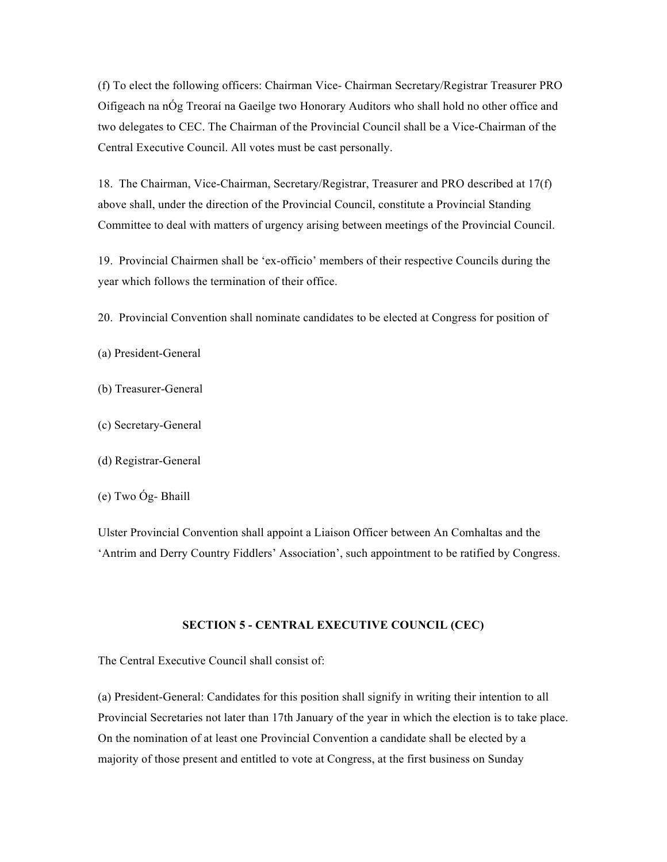(f) To elect the following officers: Chairman Vice- Chairman Secretary/Registrar Treasurer PRO Oifigeach na nÓg Treoraí na Gaeilge two Honorary Auditors who shall hold no other office and two delegates to CEC. The Chairman of the Provincial Council shall be a Vice-Chairman of the Central Executive Council. All votes must be cast personally.

18. The Chairman, Vice-Chairman, Secretary/Registrar, Treasurer and PRO described at 17(f) above shall, under the direction of the Provincial Council, constitute a Provincial Standing Committee to deal with matters of urgency arising between meetings of the Provincial Council.

19. Provincial Chairmen shall be 'ex-officio' members of their respective Councils during the year which follows the termination of their office.

20. Provincial Convention shall nominate candidates to be elected at Congress for position of

(a) President-General

- (b) Treasurer-General
- (c) Secretary-General
- (d) Registrar-General
- (e) Two Óg- Bhaill

Ulster Provincial Convention shall appoint a Liaison Officer between An Comhaltas and the 'Antrim and Derry Country Fiddlers' Association', such appointment to be ratified by Congress.

#### **SECTION 5 - CENTRAL EXECUTIVE COUNCIL (CEC)**

The Central Executive Council shall consist of:

(a) President-General: Candidates for this position shall signify in writing their intention to all Provincial Secretaries not later than 17th January of the year in which the election is to take place. On the nomination of at least one Provincial Convention a candidate shall be elected by a majority of those present and entitled to vote at Congress, at the first business on Sunday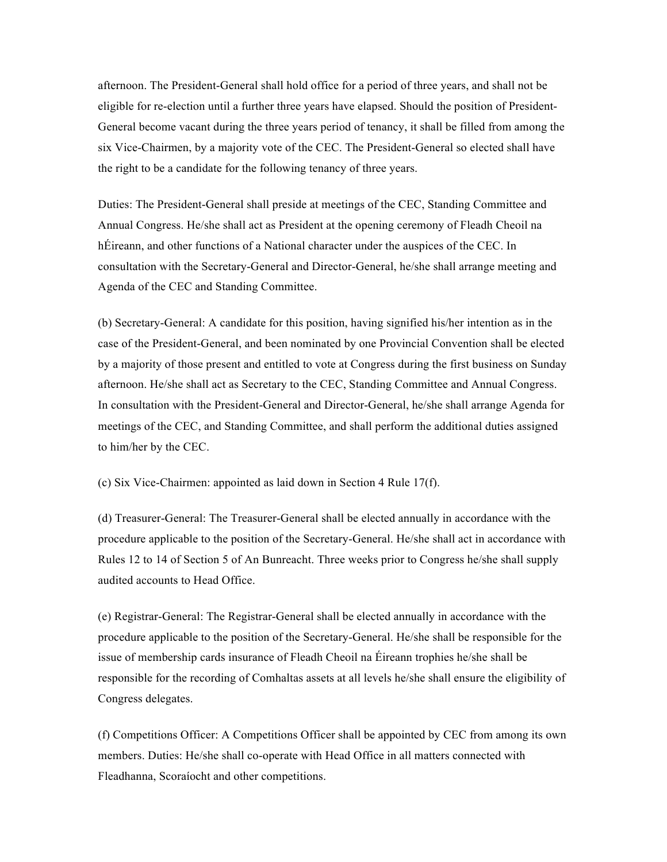afternoon. The President-General shall hold office for a period of three years, and shall not be eligible for re-election until a further three years have elapsed. Should the position of President-General become vacant during the three years period of tenancy, it shall be filled from among the six Vice-Chairmen, by a majority vote of the CEC. The President-General so elected shall have the right to be a candidate for the following tenancy of three years.

Duties: The President-General shall preside at meetings of the CEC, Standing Committee and Annual Congress. He/she shall act as President at the opening ceremony of Fleadh Cheoil na hÉireann, and other functions of a National character under the auspices of the CEC. In consultation with the Secretary-General and Director-General, he/she shall arrange meeting and Agenda of the CEC and Standing Committee.

(b) Secretary-General: A candidate for this position, having signified his/her intention as in the case of the President-General, and been nominated by one Provincial Convention shall be elected by a majority of those present and entitled to vote at Congress during the first business on Sunday afternoon. He/she shall act as Secretary to the CEC, Standing Committee and Annual Congress. In consultation with the President-General and Director-General, he/she shall arrange Agenda for meetings of the CEC, and Standing Committee, and shall perform the additional duties assigned to him/her by the CEC.

(c) Six Vice-Chairmen: appointed as laid down in Section 4 Rule 17(f).

(d) Treasurer-General: The Treasurer-General shall be elected annually in accordance with the procedure applicable to the position of the Secretary-General. He/she shall act in accordance with Rules 12 to 14 of Section 5 of An Bunreacht. Three weeks prior to Congress he/she shall supply audited accounts to Head Office.

(e) Registrar-General: The Registrar-General shall be elected annually in accordance with the procedure applicable to the position of the Secretary-General. He/she shall be responsible for the issue of membership cards insurance of Fleadh Cheoil na Éireann trophies he/she shall be responsible for the recording of Comhaltas assets at all levels he/she shall ensure the eligibility of Congress delegates.

(f) Competitions Officer: A Competitions Officer shall be appointed by CEC from among its own members. Duties: He/she shall co-operate with Head Office in all matters connected with Fleadhanna, Scoraíocht and other competitions.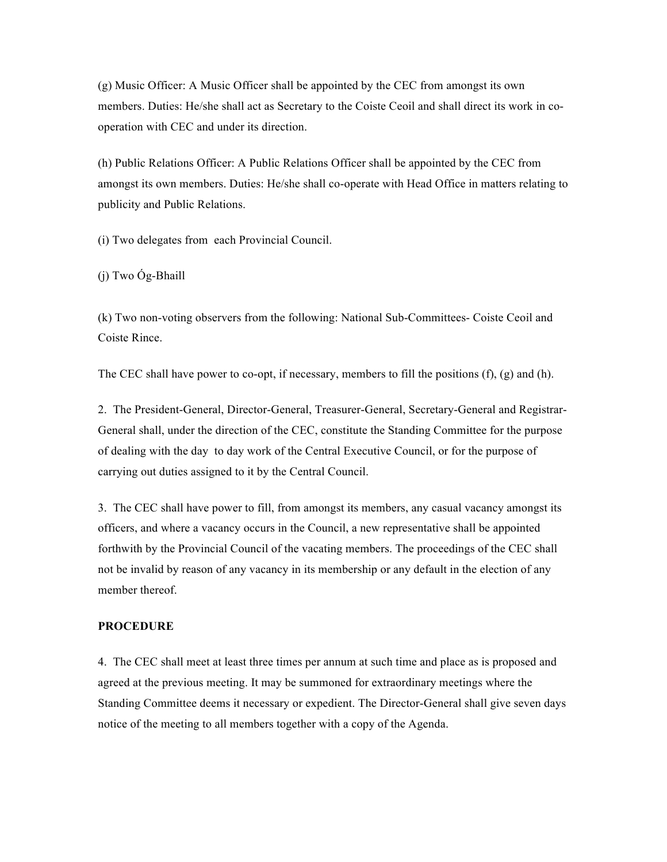(g) Music Officer: A Music Officer shall be appointed by the CEC from amongst its own members. Duties: He/she shall act as Secretary to the Coiste Ceoil and shall direct its work in cooperation with CEC and under its direction.

(h) Public Relations Officer: A Public Relations Officer shall be appointed by the CEC from amongst its own members. Duties: He/she shall co-operate with Head Office in matters relating to publicity and Public Relations.

(i) Two delegates from each Provincial Council.

(j) Two Óg-Bhaill

(k) Two non-voting observers from the following: National Sub-Committees- Coiste Ceoil and Coiste Rince.

The CEC shall have power to co-opt, if necessary, members to fill the positions (f), (g) and (h).

2. The President-General, Director-General, Treasurer-General, Secretary-General and Registrar-General shall, under the direction of the CEC, constitute the Standing Committee for the purpose of dealing with the day to day work of the Central Executive Council, or for the purpose of carrying out duties assigned to it by the Central Council.

3. The CEC shall have power to fill, from amongst its members, any casual vacancy amongst its officers, and where a vacancy occurs in the Council, a new representative shall be appointed forthwith by the Provincial Council of the vacating members. The proceedings of the CEC shall not be invalid by reason of any vacancy in its membership or any default in the election of any member thereof.

#### **PROCEDURE**

4. The CEC shall meet at least three times per annum at such time and place as is proposed and agreed at the previous meeting. It may be summoned for extraordinary meetings where the Standing Committee deems it necessary or expedient. The Director-General shall give seven days notice of the meeting to all members together with a copy of the Agenda.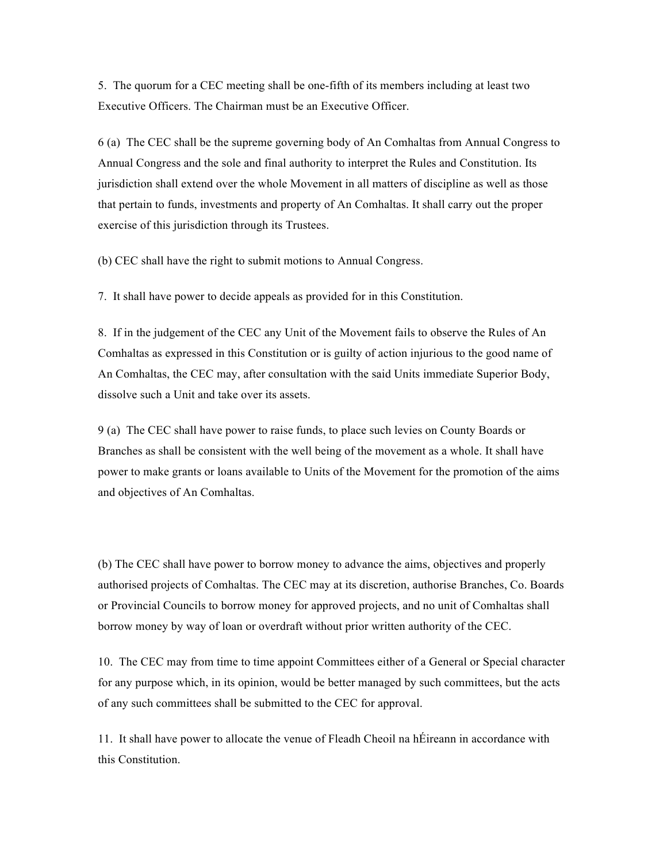5. The quorum for a CEC meeting shall be one-fifth of its members including at least two Executive Officers. The Chairman must be an Executive Officer.

6 (a) The CEC shall be the supreme governing body of An Comhaltas from Annual Congress to Annual Congress and the sole and final authority to interpret the Rules and Constitution. Its jurisdiction shall extend over the whole Movement in all matters of discipline as well as those that pertain to funds, investments and property of An Comhaltas. It shall carry out the proper exercise of this jurisdiction through its Trustees.

(b) CEC shall have the right to submit motions to Annual Congress.

7. It shall have power to decide appeals as provided for in this Constitution.

8. If in the judgement of the CEC any Unit of the Movement fails to observe the Rules of An Comhaltas as expressed in this Constitution or is guilty of action injurious to the good name of An Comhaltas, the CEC may, after consultation with the said Units immediate Superior Body, dissolve such a Unit and take over its assets.

9 (a) The CEC shall have power to raise funds, to place such levies on County Boards or Branches as shall be consistent with the well being of the movement as a whole. It shall have power to make grants or loans available to Units of the Movement for the promotion of the aims and objectives of An Comhaltas.

(b) The CEC shall have power to borrow money to advance the aims, objectives and properly authorised projects of Comhaltas. The CEC may at its discretion, authorise Branches, Co. Boards or Provincial Councils to borrow money for approved projects, and no unit of Comhaltas shall borrow money by way of loan or overdraft without prior written authority of the CEC.

10. The CEC may from time to time appoint Committees either of a General or Special character for any purpose which, in its opinion, would be better managed by such committees, but the acts of any such committees shall be submitted to the CEC for approval.

11. It shall have power to allocate the venue of Fleadh Cheoil na hÉireann in accordance with this Constitution.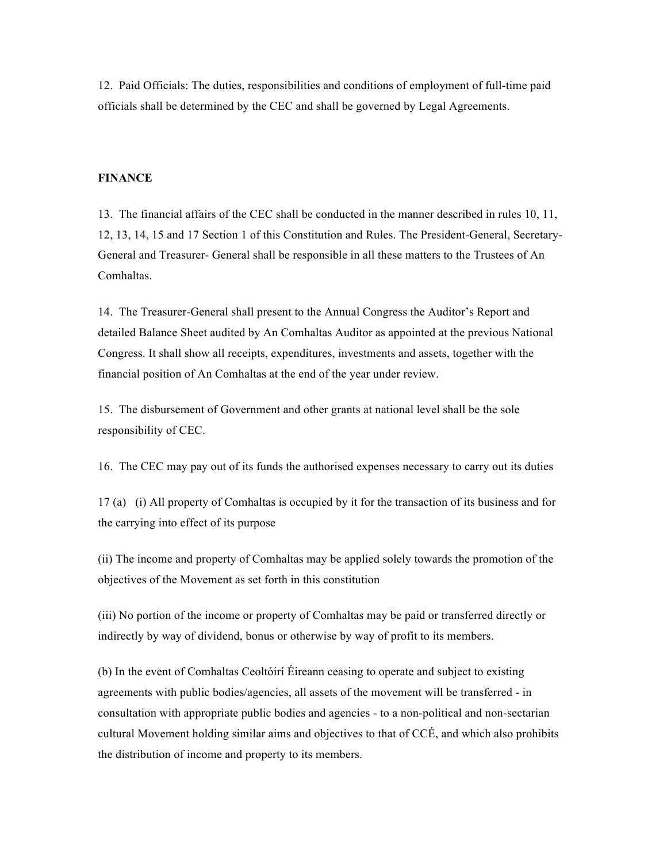12. Paid Officials: The duties, responsibilities and conditions of employment of full-time paid officials shall be determined by the CEC and shall be governed by Legal Agreements.

#### **FINANCE**

13. The financial affairs of the CEC shall be conducted in the manner described in rules 10, 11, 12, 13, 14, 15 and 17 Section 1 of this Constitution and Rules. The President-General, Secretary-General and Treasurer- General shall be responsible in all these matters to the Trustees of An Comhaltas.

14. The Treasurer-General shall present to the Annual Congress the Auditor's Report and detailed Balance Sheet audited by An Comhaltas Auditor as appointed at the previous National Congress. It shall show all receipts, expenditures, investments and assets, together with the financial position of An Comhaltas at the end of the year under review.

15. The disbursement of Government and other grants at national level shall be the sole responsibility of CEC.

16. The CEC may pay out of its funds the authorised expenses necessary to carry out its duties

17 (a) (i) All property of Comhaltas is occupied by it for the transaction of its business and for the carrying into effect of its purpose

(ii) The income and property of Comhaltas may be applied solely towards the promotion of the objectives of the Movement as set forth in this constitution

(iii) No portion of the income or property of Comhaltas may be paid or transferred directly or indirectly by way of dividend, bonus or otherwise by way of profit to its members.

(b) In the event of Comhaltas Ceoltóirí Éireann ceasing to operate and subject to existing agreements with public bodies/agencies, all assets of the movement will be transferred - in consultation with appropriate public bodies and agencies - to a non-political and non-sectarian cultural Movement holding similar aims and objectives to that of CCÉ, and which also prohibits the distribution of income and property to its members.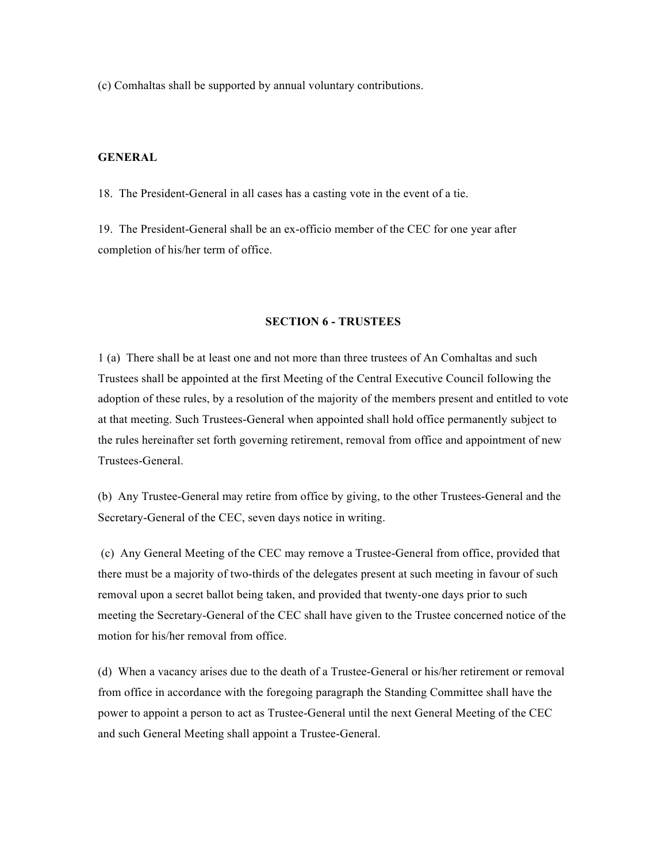(c) Comhaltas shall be supported by annual voluntary contributions.

#### **GENERAL**

18. The President-General in all cases has a casting vote in the event of a tie.

19. The President-General shall be an ex-officio member of the CEC for one year after completion of his/her term of office.

#### **SECTION 6 - TRUSTEES**

1 (a) There shall be at least one and not more than three trustees of An Comhaltas and such Trustees shall be appointed at the first Meeting of the Central Executive Council following the adoption of these rules, by a resolution of the majority of the members present and entitled to vote at that meeting. Such Trustees-General when appointed shall hold office permanently subject to the rules hereinafter set forth governing retirement, removal from office and appointment of new Trustees-General.

(b) Any Trustee-General may retire from office by giving, to the other Trustees-General and the Secretary-General of the CEC, seven days notice in writing.

 (c) Any General Meeting of the CEC may remove a Trustee-General from office, provided that there must be a majority of two-thirds of the delegates present at such meeting in favour of such removal upon a secret ballot being taken, and provided that twenty-one days prior to such meeting the Secretary-General of the CEC shall have given to the Trustee concerned notice of the motion for his/her removal from office.

(d) When a vacancy arises due to the death of a Trustee-General or his/her retirement or removal from office in accordance with the foregoing paragraph the Standing Committee shall have the power to appoint a person to act as Trustee-General until the next General Meeting of the CEC and such General Meeting shall appoint a Trustee-General.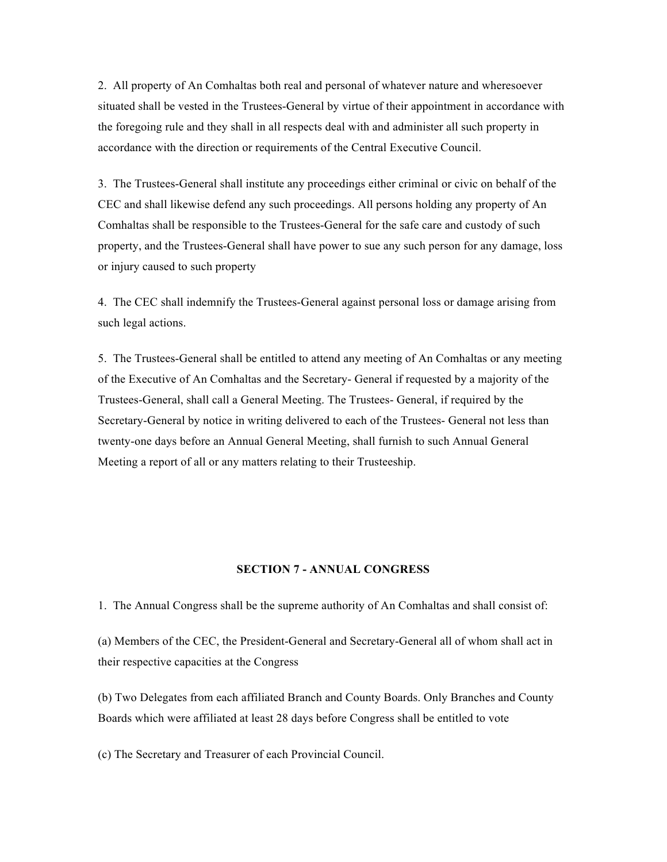2. All property of An Comhaltas both real and personal of whatever nature and wheresoever situated shall be vested in the Trustees-General by virtue of their appointment in accordance with the foregoing rule and they shall in all respects deal with and administer all such property in accordance with the direction or requirements of the Central Executive Council.

3. The Trustees-General shall institute any proceedings either criminal or civic on behalf of the CEC and shall likewise defend any such proceedings. All persons holding any property of An Comhaltas shall be responsible to the Trustees-General for the safe care and custody of such property, and the Trustees-General shall have power to sue any such person for any damage, loss or injury caused to such property

4. The CEC shall indemnify the Trustees-General against personal loss or damage arising from such legal actions.

5. The Trustees-General shall be entitled to attend any meeting of An Comhaltas or any meeting of the Executive of An Comhaltas and the Secretary- General if requested by a majority of the Trustees-General, shall call a General Meeting. The Trustees- General, if required by the Secretary-General by notice in writing delivered to each of the Trustees- General not less than twenty-one days before an Annual General Meeting, shall furnish to such Annual General Meeting a report of all or any matters relating to their Trusteeship.

#### **SECTION 7 - ANNUAL CONGRESS**

1. The Annual Congress shall be the supreme authority of An Comhaltas and shall consist of:

(a) Members of the CEC, the President-General and Secretary-General all of whom shall act in their respective capacities at the Congress

(b) Two Delegates from each affiliated Branch and County Boards. Only Branches and County Boards which were affiliated at least 28 days before Congress shall be entitled to vote

(c) The Secretary and Treasurer of each Provincial Council.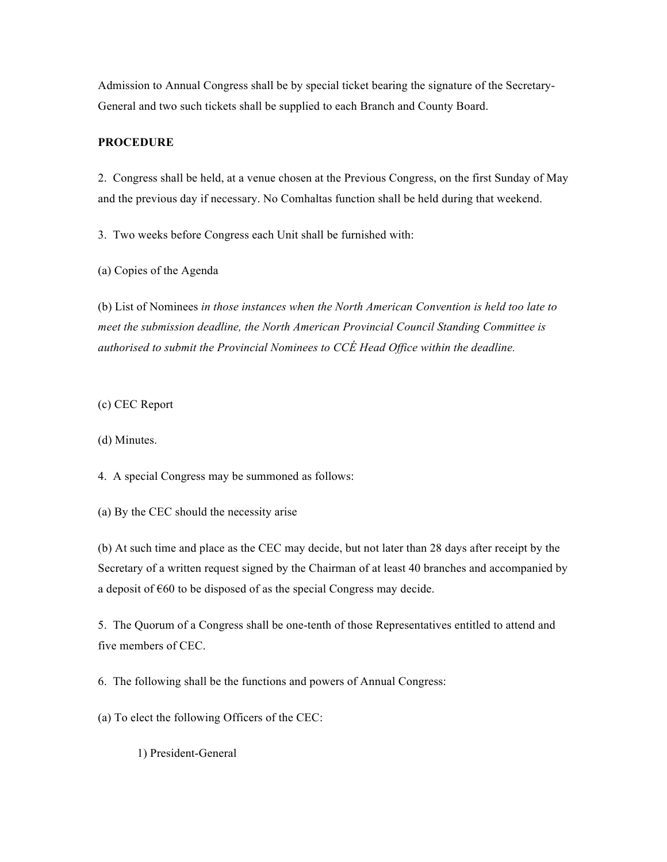Admission to Annual Congress shall be by special ticket bearing the signature of the Secretary-General and two such tickets shall be supplied to each Branch and County Board.

#### **PROCEDURE**

2. Congress shall be held, at a venue chosen at the Previous Congress, on the first Sunday of May and the previous day if necessary. No Comhaltas function shall be held during that weekend.

3. Two weeks before Congress each Unit shall be furnished with:

(a) Copies of the Agenda

(b) List of Nominees *in those instances when the North American Convention is held too late to meet the submission deadline, the North American Provincial Council Standing Committee is authorised to submit the Provincial Nominees to CCÉ Head Office within the deadline.*

(c) CEC Report

(d) Minutes.

4. A special Congress may be summoned as follows:

(a) By the CEC should the necessity arise

(b) At such time and place as the CEC may decide, but not later than 28 days after receipt by the Secretary of a written request signed by the Chairman of at least 40 branches and accompanied by a deposit of €60 to be disposed of as the special Congress may decide.

5. The Quorum of a Congress shall be one-tenth of those Representatives entitled to attend and five members of CEC.

6. The following shall be the functions and powers of Annual Congress:

(a) To elect the following Officers of the CEC:

1) President-General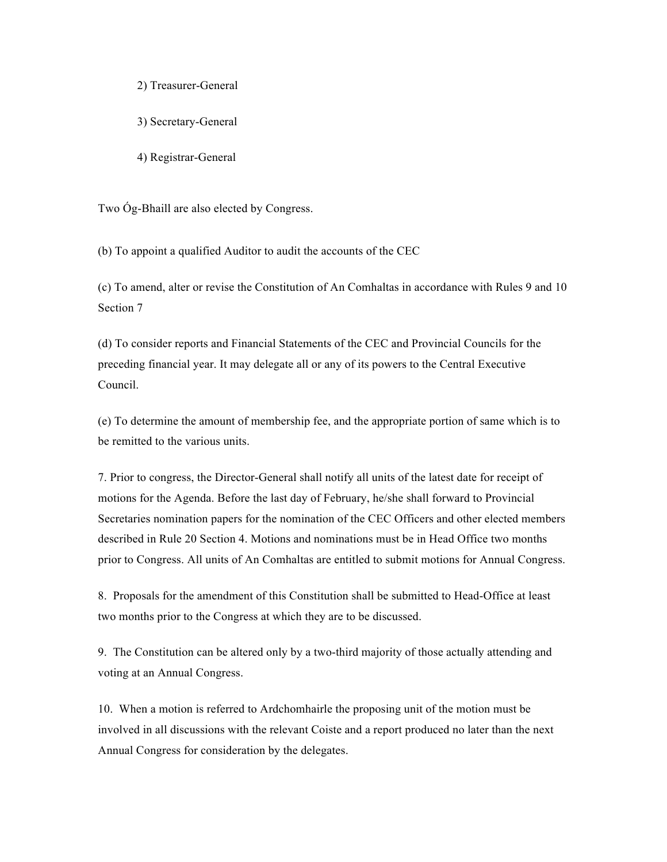#### 2) Treasurer-General

- 3) Secretary-General
- 4) Registrar-General

Two Óg-Bhaill are also elected by Congress.

(b) To appoint a qualified Auditor to audit the accounts of the CEC

(c) To amend, alter or revise the Constitution of An Comhaltas in accordance with Rules 9 and 10 Section 7

(d) To consider reports and Financial Statements of the CEC and Provincial Councils for the preceding financial year. It may delegate all or any of its powers to the Central Executive Council.

(e) To determine the amount of membership fee, and the appropriate portion of same which is to be remitted to the various units.

7. Prior to congress, the Director-General shall notify all units of the latest date for receipt of motions for the Agenda. Before the last day of February, he/she shall forward to Provincial Secretaries nomination papers for the nomination of the CEC Officers and other elected members described in Rule 20 Section 4. Motions and nominations must be in Head Office two months prior to Congress. All units of An Comhaltas are entitled to submit motions for Annual Congress.

8. Proposals for the amendment of this Constitution shall be submitted to Head-Office at least two months prior to the Congress at which they are to be discussed.

9. The Constitution can be altered only by a two-third majority of those actually attending and voting at an Annual Congress.

10. When a motion is referred to Ardchomhairle the proposing unit of the motion must be involved in all discussions with the relevant Coiste and a report produced no later than the next Annual Congress for consideration by the delegates.